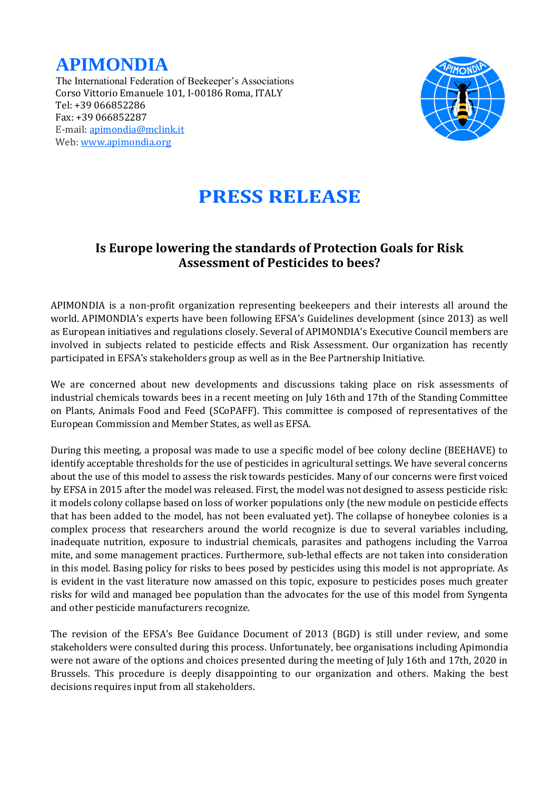



## **PRESS RELEASE**

## **Is Europe lowering the standards of Protection Goals for Risk Assessment of Pesticides to bees?**

APIMONDIA is a non-profit organization representing beekeepers and their interests all around the world. APIMONDIA's experts have been following EFSA's Guidelines development (since 2013) as well as European initiatives and regulations closely. Several of APIMONDIA's Executive Council members are involved in subjects related to pesticide effects and Risk Assessment. Our organization has recently participated in EFSA's stakeholders group as well as in the Bee Partnership Initiative.

We are concerned about new developments and discussions taking place on risk assessments of industrial chemicals towards bees in a recent meeting on July 16th and 17th of the Standing Committee on Plants, Animals Food and Feed (SCoPAFF). This committee is composed of representatives of the European Commission and Member States, as well as EFSA.

During this meeting, a proposal was made to use a specific model of bee colony decline (BEEHAVE) to identify acceptable thresholds for the use of pesticides in agricultural settings. We have several concerns about the use of this model to assess the risk towards pesticides. Many of our concerns were first voiced by EFSA in 2015 after the model was released. First, the model was not designed to assess pesticide risk: it models colony collapse based on loss of worker populations only (the new module on pesticide effects that has been added to the model, has not been evaluated yet). The collapse of honeybee colonies is a complex process that researchers around the world recognize is due to several variables including, inadequate nutrition, exposure to industrial chemicals, parasites and pathogens including the Varroa mite, and some management practices. Furthermore, sub-lethal effects are not taken into consideration in this model. Basing policy for risks to bees posed by pesticides using this model is not appropriate. As is evident in the vast literature now amassed on this topic, exposure to pesticides poses much greater risks for wild and managed bee population than the advocates for the use of this model from Syngenta and other pesticide manufacturers recognize.

The revision of the EFSA's Bee Guidance Document of 2013 (BGD) is still under review, and some stakeholders were consulted during this process. Unfortunately, bee organisations including Apimondia were not aware of the options and choices presented during the meeting of July 16th and 17th, 2020 in Brussels. This procedure is deeply disappointing to our organization and others. Making the best decisions requires input from all stakeholders.